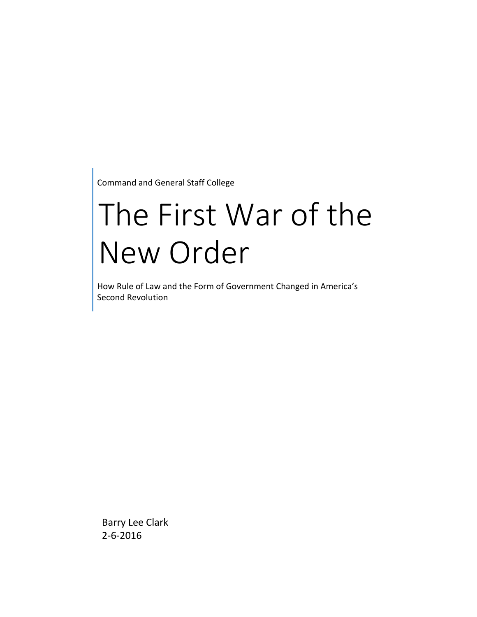Command and General Staff College

# The First War of the New Order

How Rule of Law and the Form of Government Changed in America's Second Revolution

Barry Lee Clark 2-6-2016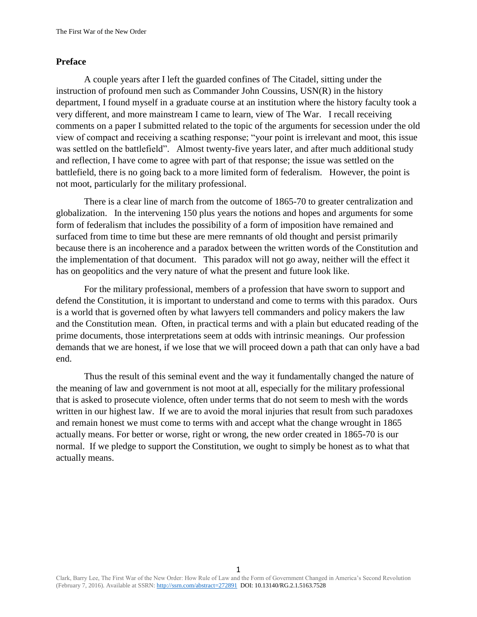## **Preface**

A couple years after I left the guarded confines of The Citadel, sitting under the instruction of profound men such as Commander John Coussins, USN(R) in the history department, I found myself in a graduate course at an institution where the history faculty took a very different, and more mainstream I came to learn, view of The War. I recall receiving comments on a paper I submitted related to the topic of the arguments for secession under the old view of compact and receiving a scathing response; "your point is irrelevant and moot, this issue was settled on the battlefield". Almost twenty-five years later, and after much additional study and reflection, I have come to agree with part of that response; the issue was settled on the battlefield, there is no going back to a more limited form of federalism. However, the point is not moot, particularly for the military professional.

There is a clear line of march from the outcome of 1865-70 to greater centralization and globalization. In the intervening 150 plus years the notions and hopes and arguments for some form of federalism that includes the possibility of a form of imposition have remained and surfaced from time to time but these are mere remnants of old thought and persist primarily because there is an incoherence and a paradox between the written words of the Constitution and the implementation of that document. This paradox will not go away, neither will the effect it has on geopolitics and the very nature of what the present and future look like.

For the military professional, members of a profession that have sworn to support and defend the Constitution, it is important to understand and come to terms with this paradox. Ours is a world that is governed often by what lawyers tell commanders and policy makers the law and the Constitution mean. Often, in practical terms and with a plain but educated reading of the prime documents, those interpretations seem at odds with intrinsic meanings. Our profession demands that we are honest, if we lose that we will proceed down a path that can only have a bad end.

Thus the result of this seminal event and the way it fundamentally changed the nature of the meaning of law and government is not moot at all, especially for the military professional that is asked to prosecute violence, often under terms that do not seem to mesh with the words written in our highest law. If we are to avoid the moral injuries that result from such paradoxes and remain honest we must come to terms with and accept what the change wrought in 1865 actually means. For better or worse, right or wrong, the new order created in 1865-70 is our normal. If we pledge to support the Constitution, we ought to simply be honest as to what that actually means.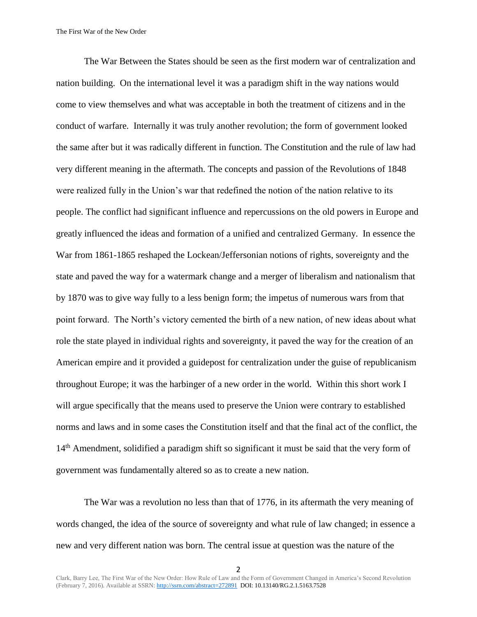The War Between the States should be seen as the first modern war of centralization and nation building. On the international level it was a paradigm shift in the way nations would come to view themselves and what was acceptable in both the treatment of citizens and in the conduct of warfare. Internally it was truly another revolution; the form of government looked the same after but it was radically different in function. The Constitution and the rule of law had very different meaning in the aftermath. The concepts and passion of the Revolutions of 1848 were realized fully in the Union's war that redefined the notion of the nation relative to its people. The conflict had significant influence and repercussions on the old powers in Europe and greatly influenced the ideas and formation of a unified and centralized Germany. In essence the War from 1861-1865 reshaped the Lockean/Jeffersonian notions of rights, sovereignty and the state and paved the way for a watermark change and a merger of liberalism and nationalism that by 1870 was to give way fully to a less benign form; the impetus of numerous wars from that point forward. The North's victory cemented the birth of a new nation, of new ideas about what role the state played in individual rights and sovereignty, it paved the way for the creation of an American empire and it provided a guidepost for centralization under the guise of republicanism throughout Europe; it was the harbinger of a new order in the world. Within this short work I will argue specifically that the means used to preserve the Union were contrary to established norms and laws and in some cases the Constitution itself and that the final act of the conflict, the 14<sup>th</sup> Amendment, solidified a paradigm shift so significant it must be said that the very form of government was fundamentally altered so as to create a new nation.

The War was a revolution no less than that of 1776, in its aftermath the very meaning of words changed, the idea of the source of sovereignty and what rule of law changed; in essence a new and very different nation was born. The central issue at question was the nature of the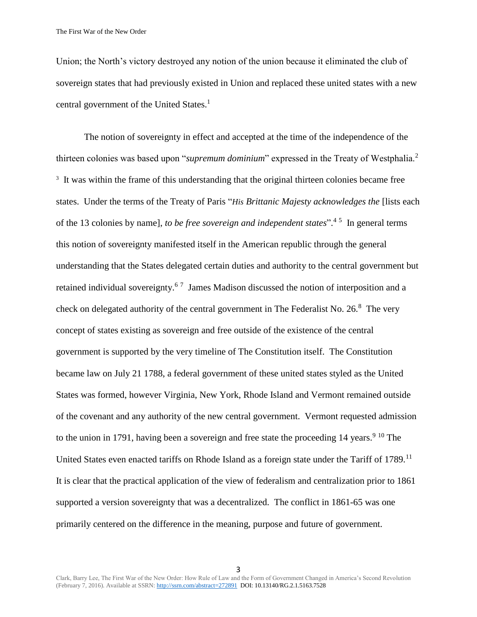Union; the North's victory destroyed any notion of the union because it eliminated the club of sovereign states that had previously existed in Union and replaced these united states with a new central government of the United States.<sup>1</sup>

The notion of sovereignty in effect and accepted at the time of the independence of the thirteen colonies was based upon "*supremum dominium*" expressed in the Treaty of Westphalia.<sup>2</sup> <sup>3</sup> It was within the frame of this understanding that the original thirteen colonies became free states. Under the terms of the Treaty of Paris "*His Brittanic Majesty acknowledges the* [lists each of the 13 colonies by name], *to be free sovereign and independent states*".<sup>45</sup> In general terms this notion of sovereignty manifested itself in the American republic through the general understanding that the States delegated certain duties and authority to the central government but retained individual sovereignty.<sup>67</sup> James Madison discussed the notion of interposition and a check on delegated authority of the central government in The Federalist No.  $26.8^{\circ}$  The very concept of states existing as sovereign and free outside of the existence of the central government is supported by the very timeline of The Constitution itself. The Constitution became law on July 21 1788, a federal government of these united states styled as the United States was formed, however Virginia, New York, Rhode Island and Vermont remained outside of the covenant and any authority of the new central government. Vermont requested admission to the union in 1791, having been a sovereign and free state the proceeding 14 years.<sup>9 10</sup> The United States even enacted tariffs on Rhode Island as a foreign state under the Tariff of 1789.<sup>11</sup> It is clear that the practical application of the view of federalism and centralization prior to 1861 supported a version sovereignty that was a decentralized. The conflict in 1861-65 was one primarily centered on the difference in the meaning, purpose and future of government.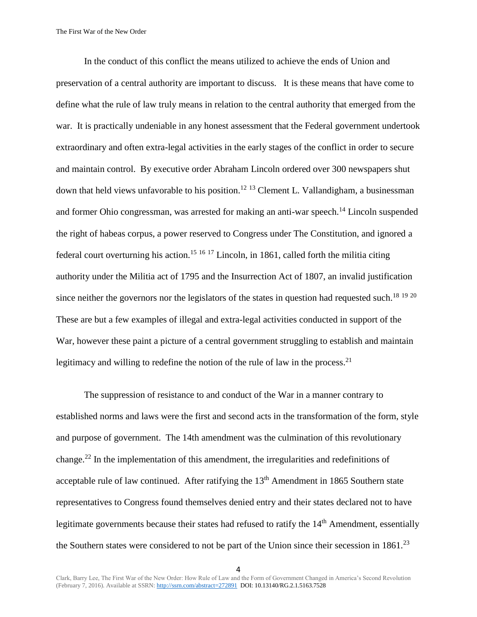In the conduct of this conflict the means utilized to achieve the ends of Union and preservation of a central authority are important to discuss. It is these means that have come to define what the rule of law truly means in relation to the central authority that emerged from the war. It is practically undeniable in any honest assessment that the Federal government undertook extraordinary and often extra-legal activities in the early stages of the conflict in order to secure and maintain control. By executive order Abraham Lincoln ordered over 300 newspapers shut down that held views unfavorable to his position.<sup>12 13</sup> Clement L. Vallandigham, a businessman and former Ohio congressman, was arrested for making an anti-war speech.<sup>14</sup> Lincoln suspended the right of habeas corpus, a power reserved to Congress under The Constitution, and ignored a federal court overturning his action.<sup>15 16 17</sup> Lincoln, in 1861, called forth the militia citing authority under the Militia act of 1795 and the Insurrection Act of 1807, an invalid justification since neither the governors nor the legislators of the states in question had requested such.<sup>18 19 20</sup> These are but a few examples of illegal and extra-legal activities conducted in support of the War, however these paint a picture of a central government struggling to establish and maintain legitimacy and willing to redefine the notion of the rule of law in the process.<sup>21</sup>

The suppression of resistance to and conduct of the War in a manner contrary to established norms and laws were the first and second acts in the transformation of the form, style and purpose of government. The 14th amendment was the culmination of this revolutionary change.<sup>22</sup> In the implementation of this amendment, the irregularities and redefinitions of acceptable rule of law continued. After ratifying the  $13<sup>th</sup>$  Amendment in 1865 Southern state representatives to Congress found themselves denied entry and their states declared not to have legitimate governments because their states had refused to ratify the 14<sup>th</sup> Amendment, essentially the Southern states were considered to not be part of the Union since their secession in  $1861<sup>23</sup>$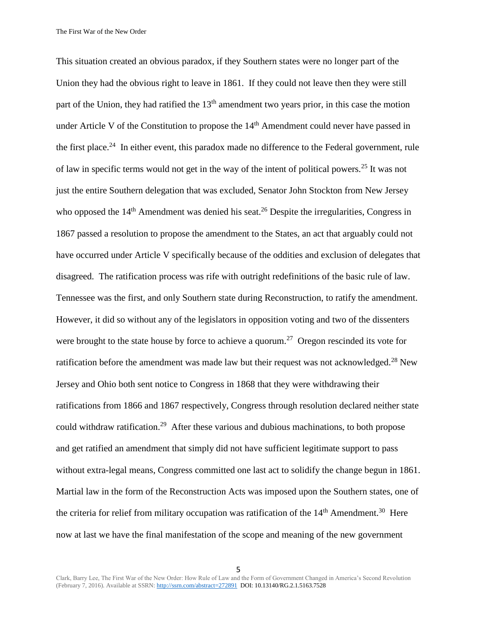The First War of the New Order

This situation created an obvious paradox, if they Southern states were no longer part of the Union they had the obvious right to leave in 1861. If they could not leave then they were still part of the Union, they had ratified the  $13<sup>th</sup>$  amendment two years prior, in this case the motion under Article V of the Constitution to propose the  $14<sup>th</sup>$  Amendment could never have passed in the first place.<sup>24</sup> In either event, this paradox made no difference to the Federal government, rule of law in specific terms would not get in the way of the intent of political powers.<sup>25</sup> It was not just the entire Southern delegation that was excluded, Senator John Stockton from New Jersey who opposed the  $14<sup>th</sup>$  Amendment was denied his seat.<sup>26</sup> Despite the irregularities, Congress in 1867 passed a resolution to propose the amendment to the States, an act that arguably could not have occurred under Article V specifically because of the oddities and exclusion of delegates that disagreed. The ratification process was rife with outright redefinitions of the basic rule of law. Tennessee was the first, and only Southern state during Reconstruction, to ratify the amendment. However, it did so without any of the legislators in opposition voting and two of the dissenters were brought to the state house by force to achieve a quorum.<sup>27</sup> Oregon rescinded its vote for ratification before the amendment was made law but their request was not acknowledged.<sup>28</sup> New Jersey and Ohio both sent notice to Congress in 1868 that they were withdrawing their ratifications from 1866 and 1867 respectively, Congress through resolution declared neither state could withdraw ratification.<sup>29</sup> After these various and dubious machinations, to both propose and get ratified an amendment that simply did not have sufficient legitimate support to pass without extra-legal means, Congress committed one last act to solidify the change begun in 1861. Martial law in the form of the Reconstruction Acts was imposed upon the Southern states, one of the criteria for relief from military occupation was ratification of the  $14<sup>th</sup>$  Amendment.<sup>30</sup> Here now at last we have the final manifestation of the scope and meaning of the new government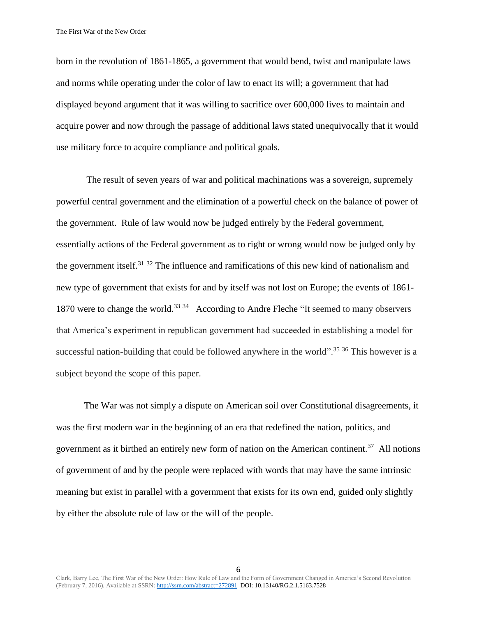The First War of the New Order

born in the revolution of 1861-1865, a government that would bend, twist and manipulate laws and norms while operating under the color of law to enact its will; a government that had displayed beyond argument that it was willing to sacrifice over 600,000 lives to maintain and acquire power and now through the passage of additional laws stated unequivocally that it would use military force to acquire compliance and political goals.

The result of seven years of war and political machinations was a sovereign, supremely powerful central government and the elimination of a powerful check on the balance of power of the government. Rule of law would now be judged entirely by the Federal government, essentially actions of the Federal government as to right or wrong would now be judged only by the government itself.<sup>31 32</sup> The influence and ramifications of this new kind of nationalism and new type of government that exists for and by itself was not lost on Europe; the events of 1861- 1870 were to change the world.<sup>33</sup> <sup>34</sup> According to Andre Fleche "It seemed to many observers that America's experiment in republican government had succeeded in establishing a model for successful nation-building that could be followed anywhere in the world".<sup>35 36</sup> This however is a subject beyond the scope of this paper.

The War was not simply a dispute on American soil over Constitutional disagreements, it was the first modern war in the beginning of an era that redefined the nation, politics, and government as it birthed an entirely new form of nation on the American continent.<sup>37</sup> All notions of government of and by the people were replaced with words that may have the same intrinsic meaning but exist in parallel with a government that exists for its own end, guided only slightly by either the absolute rule of law or the will of the people.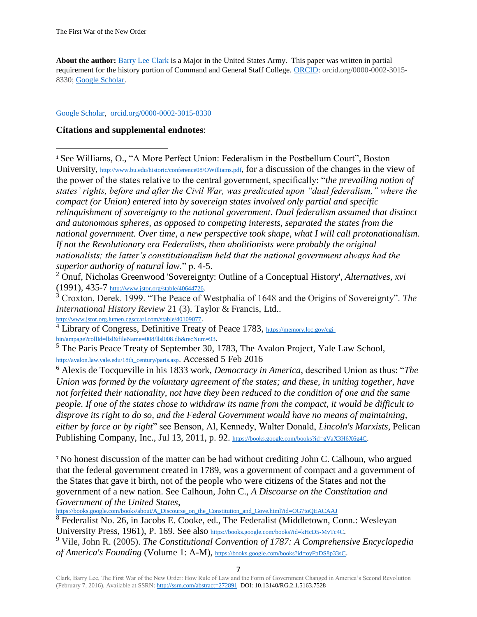**About the author:** [Barry Lee Clark](https://plus.google.com/u/0/104474685620071010362/posts?rel=author/) is a Major in the United States Army. This paper was written in partial requirement for the history portion of Command and General Staff College. [ORCID:](http://orcid.org/0000-0002-3015-8330) orcid.org/0000-0002-3015- 8330; [Google Scholar.](https://scholar.google.com/citations?user=cgqgdXMAAAAJ&hl=en)

### [Google Scholar,](https://scholar.google.com/citations?user=cgqgdXMAAAAJ&hl) [orcid.org/0000-0002-3015-8330](http://orcid.org/0000-0002-3015-8330)

# **Citations and supplemental endnotes**:

<sup>1</sup> See Williams, O., "A More Perfect Union: Federalism in the Postbellum Court", Boston University, <http://www.bu.edu/historic/conference08/OWilliams.pdf>, for a discussion of the changes in the view of the power of the states relative to the central government, specifically: "*the prevailing notion of states' rights, before and after the Civil War, was predicated upon "dual federalism," where the compact (or Union) entered into by sovereign states involved only partial and specific relinquishment of sovereignty to the national government. Dual federalism assumed that distinct and autonomous spheres, as opposed to competing interests, separated the states from the national government. Over time, a new perspective took shape, what I will call protonationalism. If not the Revolutionary era Federalists, then abolitionists were probably the original nationalists; the latter's constitutionalism held that the national government always had the superior authority of natural law.*" p. 4-5.

<sup>2</sup> Onuf, Nicholas Greenwood 'Sovereignty: Outline of a Conceptual History', *Alternatives, xvi* (1991), 435-7 [http://www.jstor.org/stable/40644726.](http://www.jstor.org/stable/40644726)

<sup>3</sup> Croxton, Derek. 1999. "The Peace of Westphalia of 1648 and the Origins of Sovereignty". *The International History Review* 21 (3). Taylor & Francis, Ltd.. <http://www.jstor.org.lumen.cgsccarl.com/stable/40109077>.

<sup>4</sup> Library of Congress, Definitive Treaty of Peace 1783, [https://memory.loc.gov/cgi](https://memory.loc.gov/cgi-bin/ampage?collId=llsl&fileName=008/llsl008.db&recNum=93)[bin/ampage?collId=llsl&fileName=008/llsl008.db&recNum=93](https://memory.loc.gov/cgi-bin/ampage?collId=llsl&fileName=008/llsl008.db&recNum=93).

 $\frac{5}{10}$  The Paris Peace Treaty of September 30, 1783, The Avalon Project, Yale Law School, [http://avalon.law.yale.edu/18th\\_century/paris.asp](http://avalon.law.yale.edu/18th_century/paris.asp). Accessed 5 Feb 2016

<sup>6</sup> Alexis de Tocqueville in his 1833 work, *[Democracy in America](https://books.google.com/books?id=xZfiBEzcPTEC)*, described Union as thus: "*The Union was formed by the voluntary agreement of the states; and these, in uniting together, have not forfeited their nationality, not have they been reduced to the condition of one and the same people. If one of the states chose to withdraw its name from the compact, it would be difficult to disprove its right to do so, and the Federal Government would have no means of maintaining, either by force or by right*" see Benson, Al, Kennedy, Walter Donald, *Lincoln's Marxists*, Pelican Publishing Company, Inc., Jul 13, 2011, p. 92. <https://books.google.com/books?id=gVaX3H6X6g4C>.

<sup>7</sup> No honest discussion of the matter can be had without crediting John C. Calhoun, who argued that the federal government created in 1789, was a government of compact and a government of the States that gave it birth, not of the people who were citizens of the States and not the government of a new nation. See Calhoun, John C., *A Discourse on the Constitution and Government of the United States*,

[https://books.google.com/books/about/A\\_Discourse\\_on\\_the\\_Constitution\\_and\\_Gove.html?id=OG7toQEACAAJ](https://books.google.com/books/about/A_Discourse_on_the_Constitution_and_Gove.html?id=OG7toQEACAAJ)

<sup>8</sup> Federalist No. 26, in Jacobs E. Cooke, ed., The Federalist (Middletown, Conn.: Wesleyan University Press, 1961), P. 169. See also <https://books.google.com/books?id=kHcD5-MvTc4C>.

<sup>9</sup> Vile, John R. (2005). *The Constitutional Convention of 1787: A Comprehensive Encyclopedia of America's Founding* (Volume 1: A-M), <https://books.google.com/books?id=oyFpDS8p33sC>.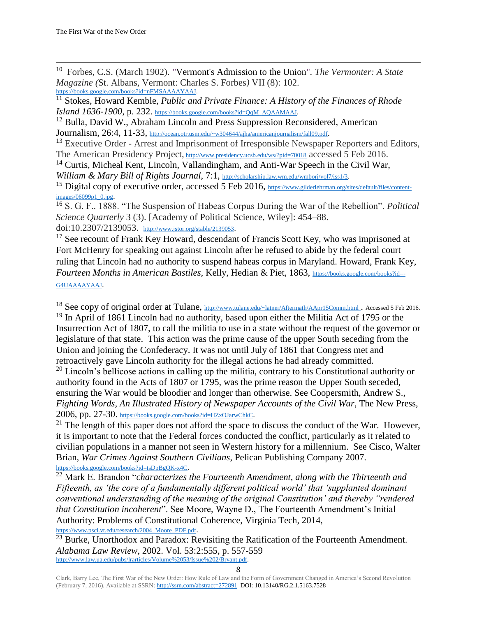<sup>10</sup> Forbes, C.S*.* (March 1902). *"*Vermont's Admission to the Union"*. The Vermonter: A State Magazine (*St. Albans, Vermont: Charles S. Forbes*)* VII (8): 102. [https://books.google.com/books?id=nFMSAAAAYAAJ.](https://books.google.com/books?id=nFMSAAAAYAAJ)

<sup>11</sup> Stokes, Howard Kemble, *Public and Private Finance: A History of the Finances of Rhode Island 1636-1900*, p. 232. [https://books.google.com/books?id=QqM\\_AQAAMAAJ](https://books.google.com/books?id=QqM_AQAAMAAJ).

 $12$  Bulla, David W., Abraham Lincoln and Press Suppression Reconsidered, American Journalism, 26:4, 11-33, <http://ocean.otr.usm.edu/~w304644/ajha/americanjournalism/fall09.pdf>.

<sup>13</sup> Executive Order - Arrest and Imprisonment of Irresponsible Newspaper Reporters and Editors, The American Presidency Project, <http://www.presidency.ucsb.edu/ws/?pid=70018> accessed 5 Feb 2016.

<sup>14</sup> Curtis, Micheal Kent, Lincoln, Vallandingham, and Anti-War Speech in the Civil War,

*William & Mary Bill of Rights Journal*, 7:1, <http://scholarship.law.wm.edu/wmborj/vol7/iss1/3>.

<sup>15</sup> Digital copy of executive order, accessed 5 Feb 2016, [https://www.gilderlehrman.org/sites/default/files/content](https://www.gilderlehrman.org/sites/default/files/content-images/06099p1_0.jpg)[images/06099p1\\_0.jpg](https://www.gilderlehrman.org/sites/default/files/content-images/06099p1_0.jpg).

<sup>16</sup> S. G. F.. 1888. "The Suspension of Habeas Corpus During the War of the Rebellion". *Political Science Quarterly* 3 (3). [Academy of Political Science, Wiley]: 454–88. doi:10.2307/2139053. <http://www.jstor.org/stable/2139053>.

 $17$  See recount of Frank Key Howard, descendant of Francis Scott Key, who was imprisoned at Fort McHenry for speaking out against Lincoln after he refused to abide by the federal court ruling that Lincoln had no authority to suspend habeas corpus in Maryland. Howard, Frank Key, *Fourteen Months in American Bastiles,* Kelly, Hedian & Piet, 1863, [https://books.google.com/books?id=-](https://books.google.com/books?id=-G4UAAAAYAAJ) [G4UAAAAYAAJ](https://books.google.com/books?id=-G4UAAAAYAAJ).

<sup>18</sup> See copy of original order at Tulane, [http://www.tulane.edu/~latner/Aftermath/AApr15Comm.html](http://www.tulane.edu/~latner/Aftermath/AApr15Comm.html%20accessed%205%20Feb%202016). Accessed 5 Feb 2016. <sup>19</sup> In April of 1861 Lincoln had no authority, based upon either the Militia Act of 1795 or the Insurrection Act of 1807, to call the militia to use in a state without the request of the governor or legislature of that state. This action was the prime cause of the upper South seceding from the Union and joining the Confederacy. It was not until July of 1861 that Congress met and retroactively gave Lincoln authority for the illegal actions he had already committed.  $20$  Lincoln's bellicose actions in calling up the militia, contrary to his Constitutional authority or

authority found in the Acts of 1807 or 1795, was the prime reason the Upper South seceded, ensuring the War would be bloodier and longer than otherwise. See Coopersmith, Andrew S., *Fighting Words, An Illustrated History of Newspaper Accounts of the Civil War*, The New Press, 2006, pp. 27-30. <https://books.google.com/books?id=HZxOJarwChkC>.

 $21$  The length of this paper does not afford the space to discuss the conduct of the War. However, it is important to note that the Federal forces conducted the conflict, particularly as it related to civilian populations in a manner not seen in Western history for a millennium. See Cisco, Walter Brian, *War Crimes Against Southern Civilians*, Pelican Publishing Company 2007. <https://books.google.com/books?id=tsDpBgQK-x4C>.

<sup>22</sup> Mark E. Brandon "*characterizes the Fourteenth Amendment, along with the Thirteenth and Fifteenth, as 'the core of a fundamentally different political world' that 'supplanted dominant conventional understanding of the meaning of the original Constitution' and thereby "rendered that Constitution incoherent*". See Moore, Wayne D., The Fourteenth Amendment's Initial Authority: Problems of Constitutional Coherence, Virginia Tech, 2014,

[https://www.psci.vt.edu/research/2004\\_Moore\\_PDF.pdf](https://www.psci.vt.edu/research/2004_Moore_PDF.pdf).

 $\overline{^{23}}$  Burke, Unorthodox and Paradox: Revisiting the Ratification of the Fourteenth Amendment. *Alabama Law Review*, 2002. Vol. 53:2:555, p. 557-559 [http://www.law.ua.edu/pubs/lrarticles/Volume%2053/Issue%202/Bryant.pdf.](http://www.law.ua.edu/pubs/lrarticles/Volume%2053/Issue%202/Bryant.pdf)

8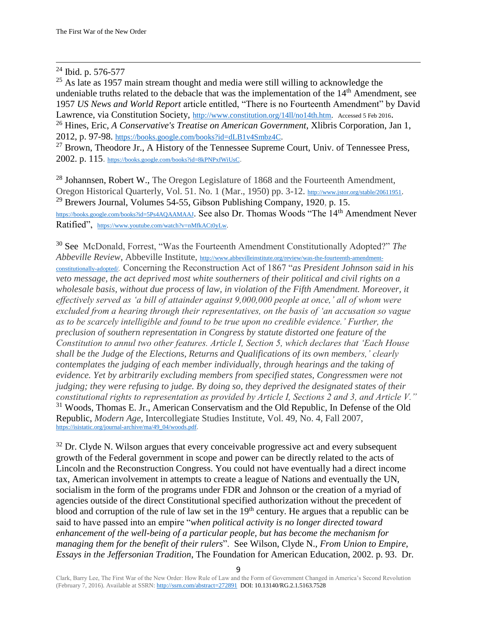### $\overline{\phantom{a}}$ <sup>24</sup> Ibid. p. 576-577

 $25$  As late as 1957 main stream thought and media were still willing to acknowledge the undeniable truths related to the debacle that was the implementation of the 14<sup>th</sup> Amendment, see 1957 *US News and World Report* article entitled, "There is no Fourteenth Amendment" by David Lawrence, via Constitution Society, [http://www.constitution.org/14ll/no14th.htm.](http://www.constitution.org/14ll/no14th.htm) Accessed 5 Feb 2016. <sup>26</sup> Hines, Eric, *A Conservative's Treatise on American Government*, Xlibris Corporation, Jan 1, 2012, p. 97-98. [https://books.google.com/books?id=dLB1v4Smbz4C.](https://books.google.com/books?id=dLB1v4Smbz4C)

 $^{27}$  Brown, Theodore Jr., A History of the Tennessee Supreme Court, Univ. of Tennessee Press, 2002. p. 115. <https://books.google.com/books?id=8kPNPxfWiUsC>.

<sup>28</sup> Johannsen, Robert W., The Oregon Legislature of 1868 and the Fourteenth Amendment, Oregon Historical Quarterly, Vol. 51. No. 1 (Mar., 1950) pp. 3-12. <http://www.jstor.org/stable/20611951>. <sup>29</sup> Brewers Journal, Volumes 54-55, Gibson Publishing Company, 1920, p. 15. <https://books.google.com/books?id=5Ps4AQAAMAAJ>. See also Dr. Thomas Woods "The 14<sup>th</sup> Amendment Never Ratified", [https://www.youtube.com/watch?v=nMfkACt0yLw.](https://www.youtube.com/watch?v=nMfkACt0yLw)

<sup>30</sup> See McDonald, Forrest, "Was the Fourteenth Amendment Constitutionally Adopted?" *The Abbeville Review*, Abbeville Institute, [http://www.abbevilleinstitute.org/review/was-the-fourteenth-amendment](http://www.abbevilleinstitute.org/review/was-the-fourteenth-amendment-constitutionally-adopted/)[constitutionally-adopted/.](http://www.abbevilleinstitute.org/review/was-the-fourteenth-amendment-constitutionally-adopted/) Concerning the Reconstruction Act of 1867 "*as President Johnson said in his veto message, the act deprived most white southerners of their political and civil rights on a wholesale basis, without due process of law, in violation of the Fifth Amendment. Moreover, it effectively served as 'a bill of attainder against 9,000,000 people at once,' all of whom were excluded from a hearing through their representatives, on the basis of 'an accusation so vague as to be scarcely intelligible and found to be true upon no credible evidence.' Further, the preclusion of southern representation in Congress by statute distorted one feature of the Constitution to annul two other features. Article I, Section 5, which declares that 'Each House shall be the Judge of the Elections, Returns and Qualifications of its own members,' clearly contemplates the judging of each member individually, through hearings and the taking of evidence. Yet by arbitrarily excluding members from specified states, Congressmen were not judging; they were refusing to judge. By doing so, they deprived the designated states of their constitutional rights to representation as provided by Article I, Sections 2 and 3, and Article V."* <sup>31</sup> Woods, Thomas E. Jr., American Conservatism and the Old Republic, In Defense of the Old Republic, *Modern Age*, Intercollegiate Studies Institute, Vol. 49, No. 4, Fall 2007, [https://isistatic.org/journal-archive/ma/49\\_04/woods.pdf.](https://isistatic.org/journal-archive/ma/49_04/woods.pdf)

 $32$  Dr. Clyde N. Wilson argues that every conceivable progressive act and every subsequent growth of the Federal government in scope and power can be directly related to the acts of Lincoln and the Reconstruction Congress. You could not have eventually had a direct income tax, American involvement in attempts to create a league of Nations and eventually the UN, socialism in the form of the programs under FDR and Johnson or the creation of a myriad of agencies outside of the direct Constitutional specified authorization without the precedent of blood and corruption of the rule of law set in the 19<sup>th</sup> century. He argues that a republic can be said to have passed into an empire "*when political activity is no longer directed toward enhancement of the well-being of a particular people, but has become the mechanism for managing them for the benefit of their rulers*". See Wilson, Clyde N., *From Union to Empire, Essays in the Jeffersonian Tradition*, The Foundation for American Education, 2002. p. 93. Dr.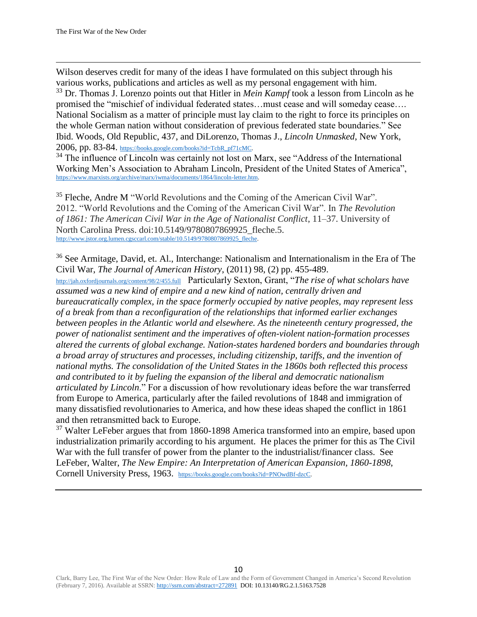$\overline{\phantom{a}}$ Wilson deserves credit for many of the ideas I have formulated on this subject through his various works, publications and articles as well as my personal engagement with him.

<sup>33</sup> Dr. Thomas J. Lorenzo points out that Hitler in *Mein Kampf* took a lesson from Lincoln as he promised the "mischief of individual federated states…must cease and will someday cease…. National Socialism as a matter of principle must lay claim to the right to force its principles on the whole German nation without consideration of previous federated state boundaries." See Ibid. Woods, Old Republic, 437, and DiLorenzo, Thomas J., *Lincoln Unmasked*, New York, 2006, pp. 83-84. [https://books.google.com/books?id=TcbR\\_pf71cMC.](https://books.google.com/books?id=TcbR_pf71cMC)

<sup>34</sup> The influence of Lincoln was certainly not lost on Marx, see "Address of the International Working Men's Association to Abraham Lincoln, President of the United States of America", [https://www.marxists.org/archive/marx/iwma/documents/1864/lincoln-letter.htm.](https://www.marxists.org/archive/marx/iwma/documents/1864/lincoln-letter.htm)

<sup>35</sup> Fleche, Andre M "World Revolutions and the Coming of the American Civil War". 2012. "World Revolutions and the Coming of the American Civil War". In *The Revolution of 1861: The American Civil War in the Age of Nationalist Conflict*, 11–37. University of North Carolina Press. doi:10.5149/9780807869925 fleche.5. [http://www.jstor.org.lumen.cgsccarl.com/stable/10.5149/9780807869925\\_fleche.](http://www.jstor.org.lumen.cgsccarl.com/stable/10.5149/9780807869925_fleche)

<sup>36</sup> See Armitage, David, et. Al., Interchange: Nationalism and Internationalism in the Era of The Civil War, *The Journal of American History*, (2011) 98, (2) pp. 455-489.

<http://jah.oxfordjournals.org/content/98/2/455.full> Particularly Sexton, Grant, "*The rise of what scholars have assumed was a new kind of empire and a new kind of nation, centrally driven and bureaucratically complex, in the space formerly occupied by native peoples, may represent less of a break from than a reconfiguration of the relationships that informed earlier exchanges between peoples in the Atlantic world and elsewhere. As the nineteenth century progressed, the power of nationalist sentiment and the imperatives of often-violent nation-formation processes altered the currents of global exchange. Nation-states hardened borders and boundaries through a broad array of structures and processes, including citizenship, tariffs, and the invention of national myths. The consolidation of the United States in the 1860s both reflected this process and contributed to it by fueling the expansion of the liberal and democratic nationalism articulated by Lincoln*." For a discussion of how revolutionary ideas before the war transferred from Europe to America, particularly after the failed revolutions of 1848 and immigration of many dissatisfied revolutionaries to America, and how these ideas shaped the conflict in 1861 and then retransmitted back to Europe.

<sup>37</sup> Walter LeFeber argues that from 1860-1898 America transformed into an empire, based upon industrialization primarily according to his argument. He places the primer for this as The Civil War with the full transfer of power from the planter to the industrialist/financer class. See LeFeber, Walter, *The New Empire: An Interpretation of American Expansion, 1860-1898*, Cornell University Press, 1963. [https://books.google.com/books?id=PNOwdBf-dzcC.](https://books.google.com/books?id=PNOwdBf-dzcC)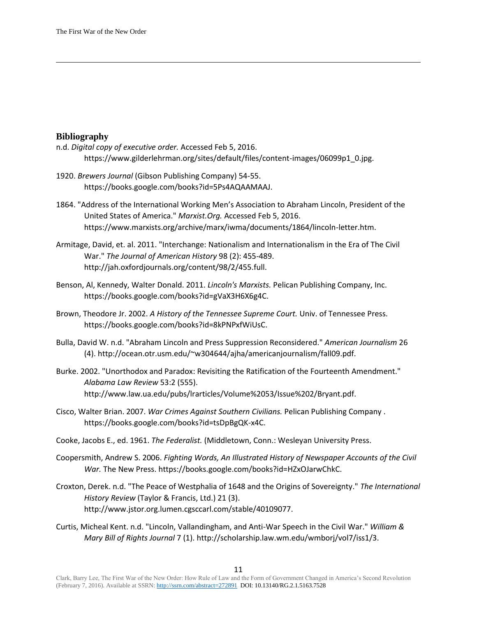## **Bibliography**

 $\overline{\phantom{a}}$ 

- n.d. *Digital copy of executive order.* Accessed Feb 5, 2016. https://www.gilderlehrman.org/sites/default/files/content-images/06099p1\_0.jpg.
- 1920. *Brewers Journal* (Gibson Publishing Company) 54-55. https://books.google.com/books?id=5Ps4AQAAMAAJ.
- 1864. "Address of the International Working Men's Association to Abraham Lincoln, President of the United States of America." *Marxist.Org.* Accessed Feb 5, 2016. https://www.marxists.org/archive/marx/iwma/documents/1864/lincoln-letter.htm.
- Armitage, David, et. al. 2011. "Interchange: Nationalism and Internationalism in the Era of The Civil War." *The Journal of American History* 98 (2): 455-489. http://jah.oxfordjournals.org/content/98/2/455.full.
- Benson, Al, Kennedy, Walter Donald. 2011. *Lincoln's Marxists.* Pelican Publishing Company, Inc. https://books.google.com/books?id=gVaX3H6X6g4C.
- Brown, Theodore Jr. 2002. *A History of the Tennessee Supreme Court.* Univ. of Tennessee Press. https://books.google.com/books?id=8kPNPxfWiUsC.
- Bulla, David W. n.d. "Abraham Lincoln and Press Suppression Reconsidered." *American Journalism* 26 (4). http://ocean.otr.usm.edu/~w304644/ajha/americanjournalism/fall09.pdf.
- Burke. 2002. "Unorthodox and Paradox: Revisiting the Ratification of the Fourteenth Amendment." *Alabama Law Review* 53:2 (555). http://www.law.ua.edu/pubs/lrarticles/Volume%2053/Issue%202/Bryant.pdf.
- Cisco, Walter Brian. 2007. *War Crimes Against Southern Civilians.* Pelican Publishing Company . https://books.google.com/books?id=tsDpBgQK-x4C.
- Cooke, Jacobs E., ed. 1961. *The Federalist.* (Middletown, Conn.: Wesleyan University Press.
- Coopersmith, Andrew S. 2006. *Fighting Words, An Illustrated History of Newspaper Accounts of the Civil War.* The New Press. https://books.google.com/books?id=HZxOJarwChkC.
- Croxton, Derek. n.d. "The Peace of Westphalia of 1648 and the Origins of Sovereignty." *The International History Review* (Taylor & Francis, Ltd.) 21 (3). http://www.jstor.org.lumen.cgsccarl.com/stable/40109077.
- Curtis, Micheal Kent. n.d. "Lincoln, Vallandingham, and Anti-War Speech in the Civil War." *William & Mary Bill of Rights Journal* 7 (1). http://scholarship.law.wm.edu/wmborj/vol7/iss1/3.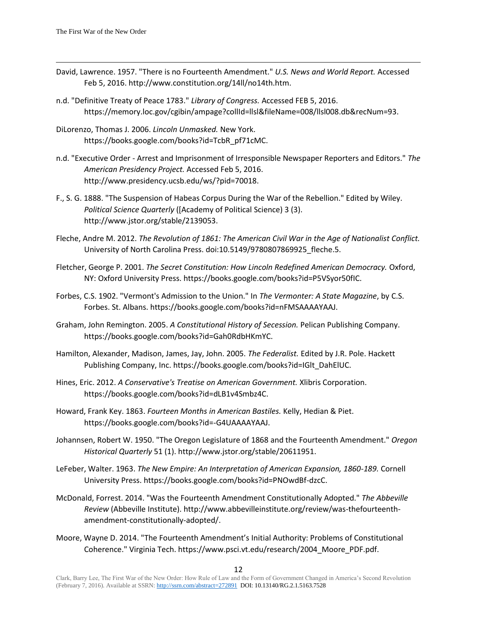- David, Lawrence. 1957. "There is no Fourteenth Amendment." *U.S. News and World Report.* Accessed Feb 5, 2016. http://www.constitution.org/14ll/no14th.htm.
- n.d. "Definitive Treaty of Peace 1783." *Library of Congress.* Accessed FEB 5, 2016. https://memory.loc.gov/cgibin/ampage?collId=llsl&fileName=008/llsl008.db&recNum=93.
- DiLorenzo, Thomas J. 2006. *Lincoln Unmasked.* New York. https://books.google.com/books?id=TcbR\_pf71cMC.
- n.d. "Executive Order Arrest and Imprisonment of Irresponsible Newspaper Reporters and Editors." *The American Presidency Project.* Accessed Feb 5, 2016. http://www.presidency.ucsb.edu/ws/?pid=70018.
- F., S. G. 1888. "The Suspension of Habeas Corpus During the War of the Rebellion." Edited by Wiley. *Political Science Quarterly* ([Academy of Political Science) 3 (3). http://www.jstor.org/stable/2139053.
- Fleche, Andre M. 2012. *The Revolution of 1861: The American Civil War in the Age of Nationalist Conflict.* University of North Carolina Press. doi:10.5149/9780807869925 fleche.5.
- Fletcher, George P. 2001. *The Secret Constitution: How Lincoln Redefined American Democracy.* Oxford, NY: Oxford University Press. https://books.google.com/books?id=P5VSyor50fIC.
- Forbes, C.S. 1902. "Vermont's Admission to the Union." In *The Vermonter: A State Magazine*, by C.S. Forbes. St. Albans. https://books.google.com/books?id=nFMSAAAAYAAJ.
- Graham, John Remington. 2005. *A Constitutional History of Secession.* Pelican Publishing Company. https://books.google.com/books?id=Gah0RdbHKmYC.
- Hamilton, Alexander, Madison, James, Jay, John. 2005. *The Federalist.* Edited by J.R. Pole. Hackett Publishing Company, Inc. https://books.google.com/books?id=IGlt\_DahElUC.
- Hines, Eric. 2012. *A Conservative's Treatise on American Government.* Xlibris Corporation. https://books.google.com/books?id=dLB1v4Smbz4C.
- Howard, Frank Key. 1863. *Fourteen Months in American Bastiles.* Kelly, Hedian & Piet. https://books.google.com/books?id=-G4UAAAAYAAJ.
- Johannsen, Robert W. 1950. "The Oregon Legislature of 1868 and the Fourteenth Amendment." *Oregon Historical Quarterly* 51 (1). http://www.jstor.org/stable/20611951.
- LeFeber, Walter. 1963. *The New Empire: An Interpretation of American Expansion, 1860-189.* Cornell University Press. https://books.google.com/books?id=PNOwdBf-dzcC.
- McDonald, Forrest. 2014. "Was the Fourteenth Amendment Constitutionally Adopted." *The Abbeville Review* (Abbeville Institute). http://www.abbevilleinstitute.org/review/was-thefourteenthamendment-constitutionally-adopted/.
- Moore, Wayne D. 2014. "The Fourteenth Amendment's Initial Authority: Problems of Constitutional Coherence." Virginia Tech. https://www.psci.vt.edu/research/2004\_Moore\_PDF.pdf.